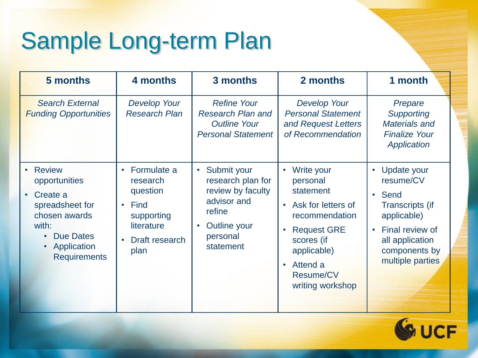## Sample Long-term Plan

| 5 months                                                                                                                                                                    | 4 months                                                                                                                                 | 3 months                                                                                                                                          | 2 months                                                                                                                                                                                                                               | 1 month                                                                                                                                                                          |
|-----------------------------------------------------------------------------------------------------------------------------------------------------------------------------|------------------------------------------------------------------------------------------------------------------------------------------|---------------------------------------------------------------------------------------------------------------------------------------------------|----------------------------------------------------------------------------------------------------------------------------------------------------------------------------------------------------------------------------------------|----------------------------------------------------------------------------------------------------------------------------------------------------------------------------------|
| <b>Search External</b><br><b>Funding Opportunities</b>                                                                                                                      | <b>Develop Your</b><br><b>Research Plan</b>                                                                                              | <b>Refine Your</b><br><b>Research Plan and</b><br><b>Outline Your</b><br><b>Personal Statement</b>                                                | Develop Your<br><b>Personal Statement</b><br>and Request Letters<br>of Recommendation                                                                                                                                                  | Prepare<br><b>Supporting</b><br><b>Materials and</b><br><b>Finalize Your</b><br>Application                                                                                      |
| <b>Review</b><br>opportunities<br>Create a<br>$\bullet$<br>spreadsheet for<br>chosen awards<br>with:<br><b>Due Dates</b><br>$\bullet$<br>Application<br><b>Requirements</b> | Formulate a<br>$\bullet$<br>research<br>question<br>Find<br>$\bullet$<br>supporting<br>literature<br>Draft research<br>$\bullet$<br>plan | Submit your<br>$\bullet$<br>research plan for<br>review by faculty<br>advisor and<br>refine<br>Outline your<br>$\bullet$<br>personal<br>statement | Write your<br>$\bullet$<br>personal<br>statement<br>Ask for letters of<br>$\bullet$<br>recommendation<br><b>Request GRE</b><br>$\bullet$<br>scores (if<br>applicable)<br>Attend a<br>$\bullet$<br><b>Resume/CV</b><br>writing workshop | Update your<br>$\bullet$<br>resume/CV<br>• Send<br><b>Transcripts (if</b><br>applicable)<br>Final review of<br>$\bullet$<br>all application<br>components by<br>multiple parties |